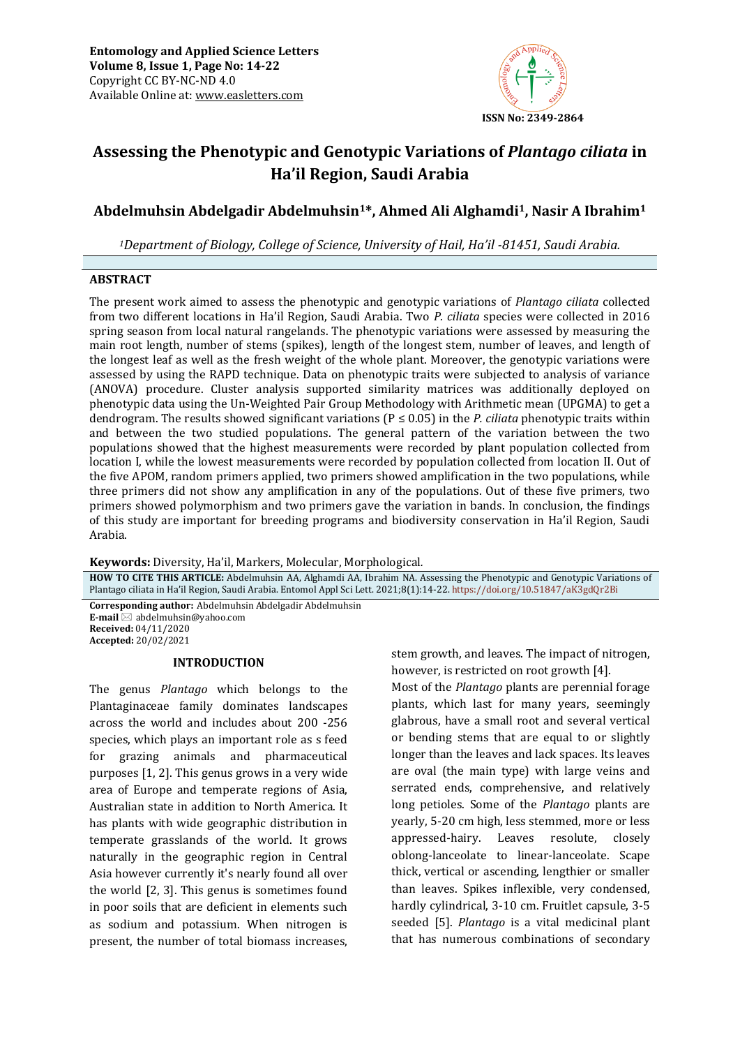

# **Assessing the Phenotypic and Genotypic Variations of** *Plantago ciliata* **in Ha'il Region, Saudi Arabia**

## **Abdelmuhsin Abdelgadir Abdelmuhsin1\*, Ahmed Ali Alghamdi1, Nasir A Ibrahim<sup>1</sup>**

<sup>1</sup>Department of Biology, College of Science, University of Hail, Ha'il  $-81451$ , Saudi Arabia.

## **ABSTRACT**

The present work aimed to assess the phenotypic and genotypic variations of *Plantago ciliata* collected from two different locations in Ha'il Region, Saudi Arabia. Two *P. ciliata* species were collected in 2016 spring season from local natural rangelands. The phenotypic variations were assessed by measuring the main root length, number of stems (spikes), length of the longest stem, number of leaves, and length of the longest leaf as well as the fresh weight of the whole plant. Moreover, the genotypic variations were assessed by using the RAPD technique. Data on phenotypic traits were subjected to analysis of variance (ANOVA) procedure. Cluster analysis supported similarity matrices was additionally deployed on phenotypic data using the Un-Weighted Pair Group Methodology with Arithmetic mean (UPGMA) to get a dendrogram. The results showed significant variations (P ≤ 0.05) in the *P. ciliata* phenotypic traits within and between the two studied populations. The general pattern of the variation between the two populations showed that the highest measurements were recorded by plant population collected from location I, while the lowest measurements were recorded by population collected from location II. Out of the five APOM, random primers applied, two primers showed amplification in the two populations, while three primers did not show any amplification in any of the populations. Out of these five primers, two primers showed polymorphism and two primers gave the variation in bands. In conclusion, the findings of this study are important for breeding programs and biodiversity conservation in Ha'il Region, Saudi Arabia.

**Keywords:** Diversity, Ha'il, Markers, Molecular, Morphological*.*

**HOW TO CITE THIS ARTICLE:** Abdelmuhsin AA, Alghamdi AA, Ibrahim NA. Assessing the Phenotypic and Genotypic Variations of Plantago ciliata in Ha'il Region, Saudi Arabia. Entomol Appl Sci Lett. 2021;8(1):14-22. <https://doi.org/10.51847/aK3gdQr2Bi> **Corresponding author:** Abdelmuhsin Abdelgadir Abdelmuhsin

**E-mail** ⊠ abdelmuhsin@yahoo.com **Received:** 04/11/2020 **Accepted:** 20/02/2021

#### **INTRODUCTION**

The genus *Plantago* which belongs to the Plantaginaceae family dominates landscapes across the world and includes about 200 -256 species, which plays an important role as s feed for grazing animals and pharmaceutical purposes [1, 2]. This genus grows in a very wide area of Europe and temperate regions of Asia, Australian state in addition to North America. It has plants with wide geographic distribution in temperate grasslands of the world. It grows naturally in the geographic region in Central Asia however currently it's nearly found all over the world [2, 3]. This genus is sometimes found in poor soils that are deficient in elements such as sodium and potassium. When nitrogen is present, the number of total biomass increases,

stem growth, and leaves. The impact of nitrogen, however, is restricted on root growth [4].

Most of the *Plantago* plants are perennial forage plants, which last for many years, seemingly glabrous, have a small root and several vertical or bending stems that are equal to or slightly longer than the leaves and lack spaces. Its leaves are oval (the main type) with large veins and serrated ends, comprehensive, and relatively long petioles. Some of the *Plantago* plants are yearly, 5-20 cm high, less stemmed, more or less appressed-hairy. Leaves resolute, closely oblong-lanceolate to linear-lanceolate. Scape thick, vertical or ascending, lengthier or smaller than leaves. Spikes inflexible, very condensed, hardly cylindrical, 3-10 cm. Fruitlet capsule, 3-5 seeded [5]. *Plantago* is a vital medicinal plant that has numerous combinations of secondary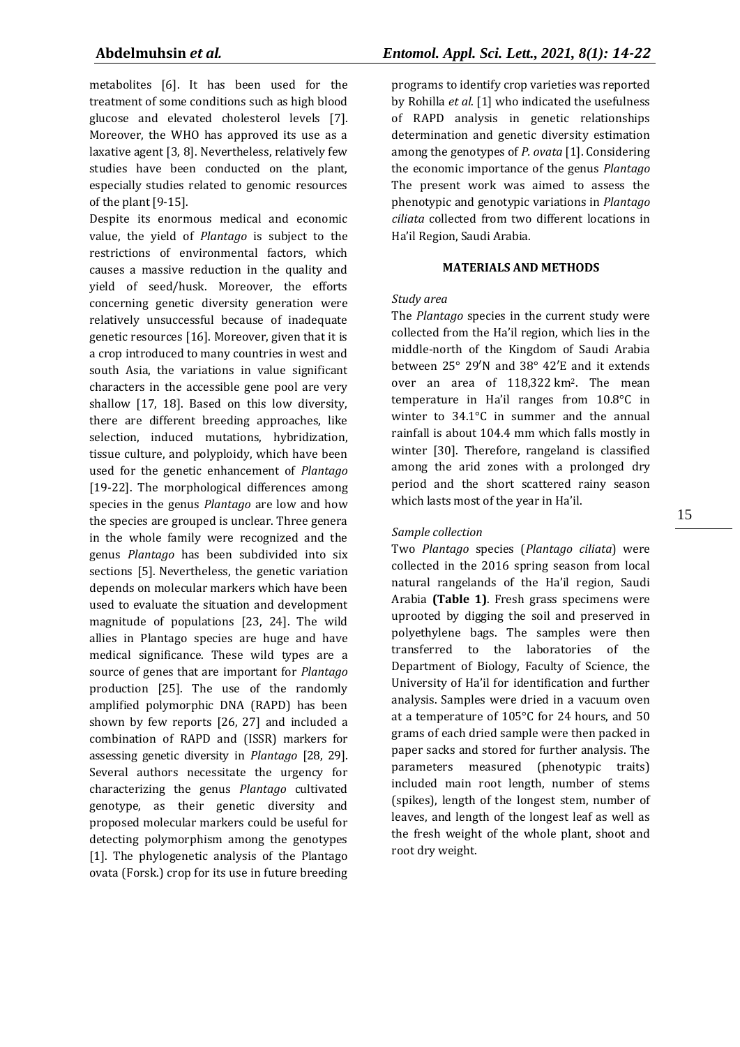metabolites [6]. It has been used for the treatment of some conditions such as high blood glucose and elevated cholesterol levels [7]. Moreover, the WHO has approved its use as a laxative agent [3, 8]. Nevertheless, relatively few studies have been conducted on the plant, especially studies related to genomic resources of the plant [9-15].

Despite its enormous medical and economic value, the yield of *Plantago* is subject to the restrictions of environmental factors, which causes a massive reduction in the quality and yield of seed/husk. Moreover, the efforts concerning genetic diversity generation were relatively unsuccessful because of inadequate genetic resources [16]. Moreover, given that it is a crop introduced to many countries in west and south Asia, the variations in value significant characters in the accessible gene pool are very shallow [17, 18]. Based on this low diversity, there are different breeding approaches, like selection, induced mutations, hybridization, tissue culture, and polyploidy, which have been used for the genetic enhancement of *Plantago*  [19-22]. The morphological differences among species in the genus *Plantago* are low and how the species are grouped is unclear. Three genera in the whole family were recognized and the genus *Plantago* has been subdivided into six sections [5]. Nevertheless, the genetic variation depends on molecular markers which have been used to evaluate the situation and development magnitude of populations [23, 24]. The wild allies in Plantago species are huge and have medical significance. These wild types are a source of genes that are important for *Plantago*  production [25]. The use of the randomly amplified polymorphic DNA (RAPD) has been shown by few reports [26, 27] and included a combination of RAPD and (ISSR) markers for assessing genetic diversity in *Plantago* [28, 29]. Several authors necessitate the urgency for characterizing the genus *Plantago* cultivated genotype, as their genetic diversity and proposed molecular markers could be useful for detecting polymorphism among the genotypes [1]. The phylogenetic analysis of the Plantago ovata (Forsk.) crop for its use in future breeding

programs to identify crop varieties was reported by Rohilla *et al*. [1] who indicated the usefulness of RAPD analysis in genetic relationships determination and genetic diversity estimation among the genotypes of *P. ovata* [1]. Considering the economic importance of the genus *Plantago* The present work was aimed to assess the phenotypic and genotypic variations in *Plantago ciliata* collected from two different locations in Ha'il Region, Saudi Arabia.

## **MATERIALS AND METHODS**

## *Study area*

The *Plantago* species in the current study were collected from the Ha'il region, which lies in the middle-north of the Kingdom of Saudi Arabia between 25° 29′N and 38° 42′E and it extends over an area of 118,322 km<sup>2</sup>. The mean temperature in Ha'il ranges from 10.8°C in winter to 34.1°C in summer and the annual rainfall is about 104.4 mm which falls mostly in winter [30]. Therefore, rangeland is classified among the arid zones with a prolonged dry period and the short scattered rainy season which lasts most of the year in Ha'il.

## *Sample collection*

Two *Plantago* species (*Plantago ciliata*) were collected in the 2016 spring season from local natural rangelands of the Ha'il region, Saudi Arabia **(Table 1)**. Fresh grass specimens were uprooted by digging the soil and preserved in polyethylene bags. The samples were then transferred to the laboratories of the Department of Biology, Faculty of Science, the University of Ha'il for identification and further analysis. Samples were dried in a vacuum oven at a temperature of 105°C for 24 hours, and 50 grams of each dried sample were then packed in paper sacks and stored for further analysis. The parameters measured (phenotypic traits) included main root length, number of stems (spikes), length of the longest stem, number of leaves, and length of the longest leaf as well as the fresh weight of the whole plant, shoot and root dry weight.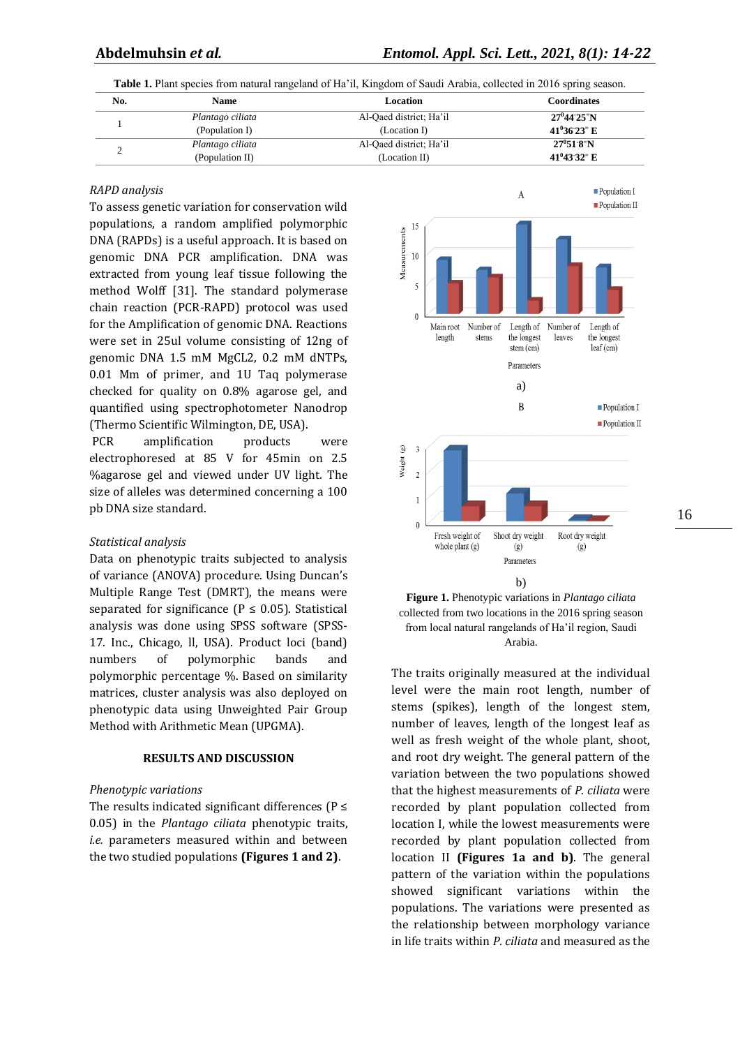**Table 1.** Plant species from natural rangeland of Ha'il, Kingdom of Saudi Arabia, collected in 2016 spring season.

| No. | Name             | Location                | <b>Coordinates</b>                |  |
|-----|------------------|-------------------------|-----------------------------------|--|
|     | Plantago ciliata | Al-Qaed district; Ha'il | $27^{\circ}44^{\circ}25^{\circ}N$ |  |
|     | (Population I)   | (Location I)            | $41^036^023$ <sup>=</sup> E       |  |
|     | Plantago ciliata | Al-Qaed district; Ha'il | $27^{\circ}51^{\circ}8^{\circ}N$  |  |
|     | (Population II)  | (Location II)           | $41^043^032^0$ E                  |  |

#### *RAPD analysis*

To assess genetic variation for conservation wild populations, a random amplified polymorphic DNA (RAPDs) is a useful approach. It is based on genomic DNA PCR amplification. DNA was extracted from young leaf tissue following the method Wolff [31]. The standard polymerase chain reaction (PCR-RAPD) protocol was used for the Amplification of genomic DNA. Reactions were set in 25ul volume consisting of 12ng of genomic DNA 1.5 mM MgCL2, 0.2 mM dNTPs, 0.01 Mm of primer, and 1U Taq polymerase checked for quality on 0.8% agarose gel, and quantified using spectrophotometer Nanodrop (Thermo Scientific Wilmington, DE, USA).

PCR amplification products were electrophoresed at 85 V for 45min on 2.5 %agarose gel and viewed under UV light. The size of alleles was determined concerning a 100 pb DNA size standard.

#### *Statistical analysis*

Data on phenotypic traits subjected to analysis of variance (ANOVA) procedure. Using Duncan's Multiple Range Test (DMRT), the means were separated for significance ( $P \le 0.05$ ). Statistical analysis was done using SPSS software (SPSS-17. Inc., Chicago, ll, USA). Product loci (band) numbers of polymorphic bands and polymorphic percentage %. Based on similarity matrices, cluster analysis was also deployed on phenotypic data using Unweighted Pair Group Method with Arithmetic Mean (UPGMA).

#### **RESULTS AND DISCUSSION**

#### *Phenotypic variations*

The results indicated significant differences ( $P \le$ 0.05) in the *Plantago ciliata* phenotypic traits, *i.e.* parameters measured within and between the two studied populations **(Figures 1 and 2)**.





The traits originally measured at the individual level were the main root length, number of stems (spikes), length of the longest stem, number of leaves, length of the longest leaf as well as fresh weight of the whole plant, shoot, and root dry weight. The general pattern of the variation between the two populations showed that the highest measurements of *P. ciliata* were recorded by plant population collected from location I, while the lowest measurements were recorded by plant population collected from location II **(Figures 1a and b)**. The general pattern of the variation within the populations showed significant variations within the populations. The variations were presented as the relationship between morphology variance in life traits within *P. ciliata* and measured as the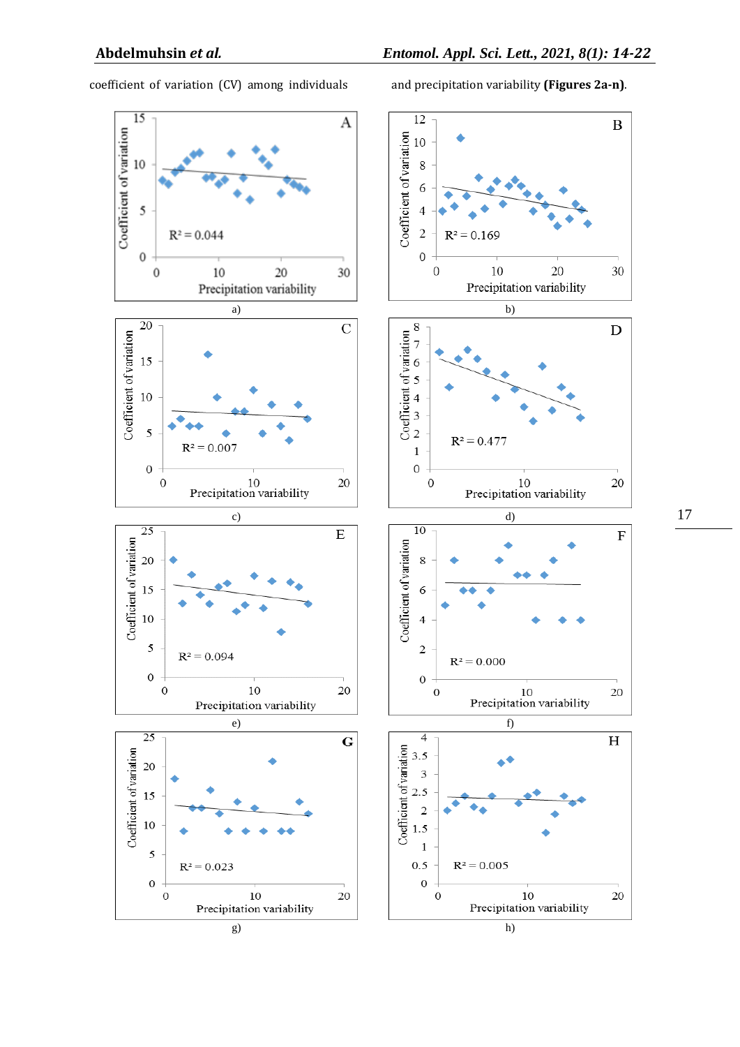$\, {\bf B}$ 

coefficient of variation (CV) among individuals and precipitation variability **(Figures 2a-n)**.





17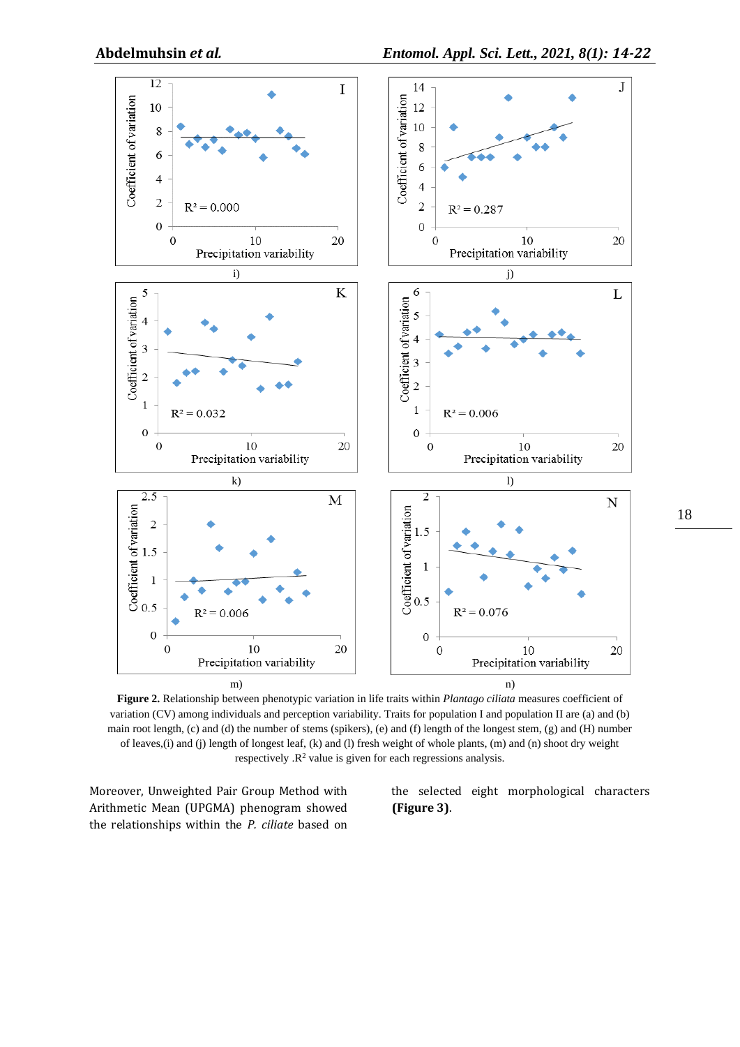

**Figure 2.** Relationship between phenotypic variation in life traits within *Plantago ciliata* measures coefficient of variation (CV) among individuals and perception variability. Traits for population I and population II are (a) and (b) main root length,  $(c)$  and  $(d)$  the number of stems (spikers),  $(e)$  and  $(f)$  length of the longest stem,  $(g)$  and  $(H)$  number of leaves,(i) and (j) length of longest leaf, (k) and (l) fresh weight of whole plants, (m) and (n) shoot dry weight respectively  $\mathbb{R}^2$  value is given for each regressions analysis.

Moreover, Unweighted Pair Group Method with Arithmetic Mean (UPGMA) phenogram showed the relationships within the *P. ciliate* based on the selected eight morphological characters **(Figure 3)**.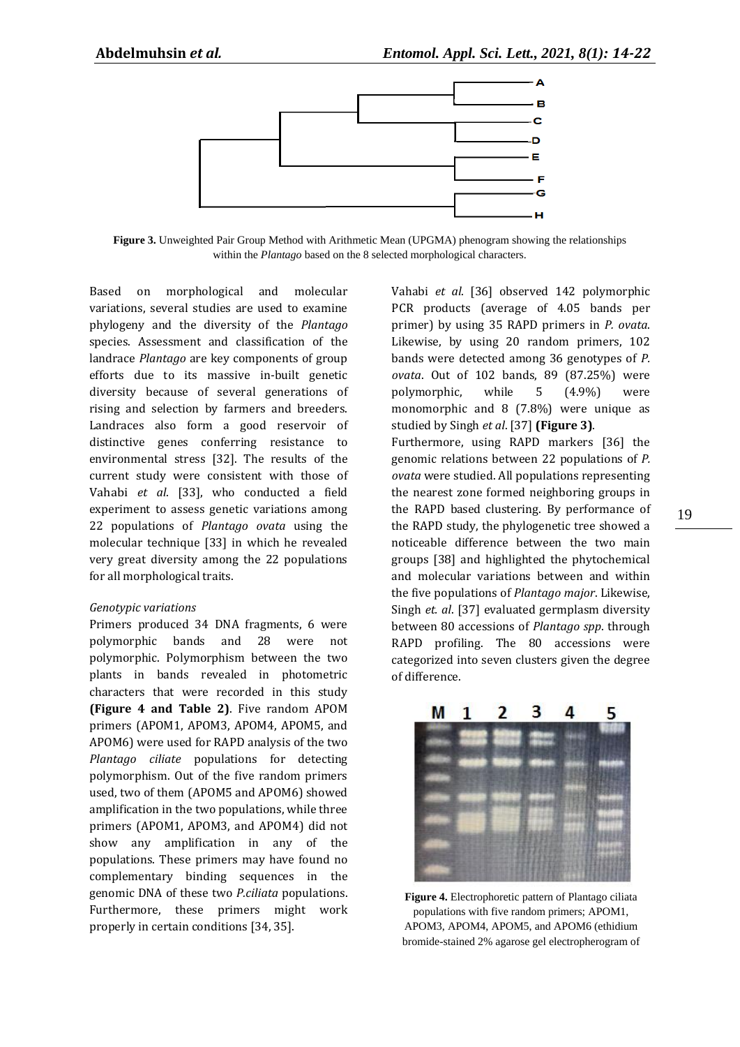

**Figure 3.** Unweighted Pair Group Method with Arithmetic Mean (UPGMA) phenogram showing the relationships within the *Plantago* based on the 8 selected morphological characters.

Based on morphological and molecular variations, several studies are used to examine phylogeny and the diversity of the *Plantago*  species. Assessment and classification of the landrace *Plantago* are key components of group efforts due to its massive in-built genetic diversity because of several generations of rising and selection by farmers and breeders. Landraces also form a good reservoir of distinctive genes conferring resistance to environmental stress [32]. The results of the current study were consistent with those of Vahabi *et al*. [33], who conducted a field experiment to assess genetic variations among 22 populations of *Plantago ovata* using the molecular technique [33] in which he revealed very great diversity among the 22 populations for all morphological traits.

#### *Genotypic variations*

Primers produced 34 DNA fragments, 6 were polymorphic bands and 28 were not polymorphic. Polymorphism between the two plants in bands revealed in photometric characters that were recorded in this study **(Figure 4 and Table 2)**. Five random APOM primers (APOM1, APOM3, APOM4, APOM5, and APOM6) were used for RAPD analysis of the two *Plantago ciliate* populations for detecting polymorphism. Out of the five random primers used, two of them (APOM5 and APOM6) showed amplification in the two populations, while three primers (APOM1, APOM3, and APOM4) did not show any amplification in any of the populations. These primers may have found no complementary binding sequences in the genomic DNA of these two *P.ciliata* populations. Furthermore, these primers might work properly in certain conditions [34, 35].

Vahabi *et al*. [36] observed 142 polymorphic PCR products (average of 4.05 bands per primer) by using 35 RAPD primers in *P. ovata*. Likewise, by using 20 random primers, 102 bands were detected among 36 genotypes of *P. ovata*. Out of 102 bands, 89 (87.25%) were polymorphic, while 5 (4.9%) were monomorphic and 8 (7.8%) were unique as studied by Singh *et al*. [37] **(Figure 3)**.

Furthermore, using RAPD markers [36] the genomic relations between 22 populations of *P. ovata* were studied. All populations representing the nearest zone formed neighboring groups in the RAPD based clustering. By performance of the RAPD study, the phylogenetic tree showed a noticeable difference between the two main groups [38] and highlighted the phytochemical and molecular variations between and within the five populations of *Plantago major*. Likewise, Singh *et. al*. [37] evaluated germplasm diversity between 80 accessions of *Plantago spp*. through RAPD profiling. The 80 accessions were categorized into seven clusters given the degree of difference.



**Figure 4.** Electrophoretic pattern of Plantago ciliata populations with five random primers; APOM1, APOM3, APOM4, APOM5, and APOM6 (ethidium bromide-stained 2% agarose gel electropherogram of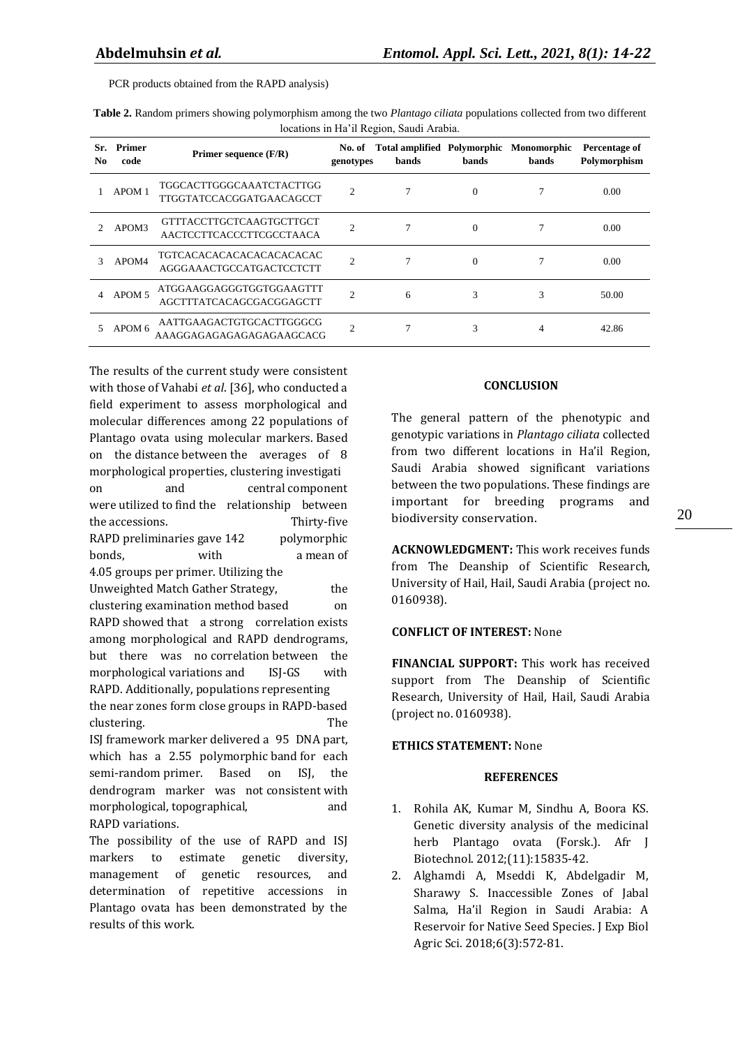PCR products obtained from the RAPD analysis)

| rocations in the if region, badding habita. |                       |                                                             |                |                                                         |              |       |                               |  |  |  |
|---------------------------------------------|-----------------------|-------------------------------------------------------------|----------------|---------------------------------------------------------|--------------|-------|-------------------------------|--|--|--|
| Sr.<br>No                                   | <b>Primer</b><br>code | Primer sequence $(F/R)$                                     | genotypes      | No. of Total amplified Polymorphic Monomorphic<br>bands | <b>bands</b> | bands | Percentage of<br>Polymorphism |  |  |  |
|                                             | APOM <sub>1</sub>     | TGGCACTTGGGCAAATCTACTTGG<br><b>TTGGTATCCACGGATGAACAGCCT</b> | $\overline{c}$ | 7                                                       | $\theta$     |       | 0.00                          |  |  |  |
|                                             | APOM3                 | GTTTACCTTGCTCAAGTGCTTGCT<br>AACTCCTTCACCCTTCGCCTAACA        | $\overline{c}$ | 7                                                       | $\Omega$     | 7     | 0.00                          |  |  |  |
| 3                                           | APOM4                 | TGTCACACACACACACACACACAC<br>AGGGAAACTGCCATGACTCCTCTT        | $\overline{c}$ | 7                                                       | $\Omega$     |       | 0.00                          |  |  |  |
| 4                                           | APOM <sub>5</sub>     | ATGGAAGGAGGGTGGTGGAAGTTT<br>AGCTTTATCACAGCGACGGAGCTT        | $\overline{c}$ | 6                                                       | 3            | 3     | 50.00                         |  |  |  |
|                                             | APOM 6                | AATTGAAGACTGTGCACTTGGGCG<br>AAAGGAGAGAGAGAGAAGCACG          | $\overline{c}$ |                                                         | 3            | 4     | 42.86                         |  |  |  |

**Table 2.** Random primers showing polymorphism among the two *Plantago ciliata* populations collected from two different locations in Ha'il Region, Saudi Arabia.

The results of the current study were consistent with those of Vahabi *et al*. [36], who conducted a field experiment to assess morphological and molecular differences among 22 populations of Plantago ovata using molecular markers. Based on the distance between the averages of 8 morphological properties, clustering investigati on and central component were utilized to find the relationship between the accessions. Thirty-five RAPD preliminaries gave 142 polymorphic bonds, with a mean of 4.05 groups per primer. Utilizing the Unweighted Match Gather Strategy, the clustering examination method based on RAPD showed that a strong correlation exists among morphological and RAPD dendrograms, but there was no correlation between the morphological variations and ISJ-GS with RAPD. Additionally, populations representing the near zones form close groups in RAPD-based clustering. The ISJ framework marker delivered a 95 DNA part, which has a 2.55 polymorphic band for each semi-random primer. Based on ISJ, the dendrogram marker was not consistent with morphological, topographical, and RAPD variations. The possibility of the use of RAPD and ISJ

markers to estimate genetic diversity, management of genetic resources, and determination of repetitive accessions in Plantago ovata has been demonstrated by the results of this work.

## **CONCLUSION**

The general pattern of the phenotypic and genotypic variations in *Plantago ciliata* collected from two different locations in Ha'il Region, Saudi Arabia showed significant variations between the two populations. These findings are important for breeding programs and biodiversity conservation.

**ACKNOWLEDGMENT:** This work receives funds from The Deanship of Scientific Research, University of Hail, Hail, Saudi Arabia (project no. 0160938).

## **CONFLICT OF INTEREST:** None

**FINANCIAL SUPPORT:** This work has received support from The Deanship of Scientific Research, University of Hail, Hail, Saudi Arabia (project no. 0160938).

## **ETHICS STATEMENT:** None

### **REFERENCES**

- 1. Rohila AK, Kumar M, Sindhu A, Boora KS. Genetic diversity analysis of the medicinal herb Plantago ovata (Forsk.). Afr J Biotechnol. 2012;(11):15835-42.
- 2. Alghamdi A, Mseddi K, Abdelgadir M, Sharawy S. Inaccessible Zones of Jabal Salma, Ha'il Region in Saudi Arabia: A Reservoir for Native Seed Species. J Exp Biol Agric Sci. 2018;6(3):572-81.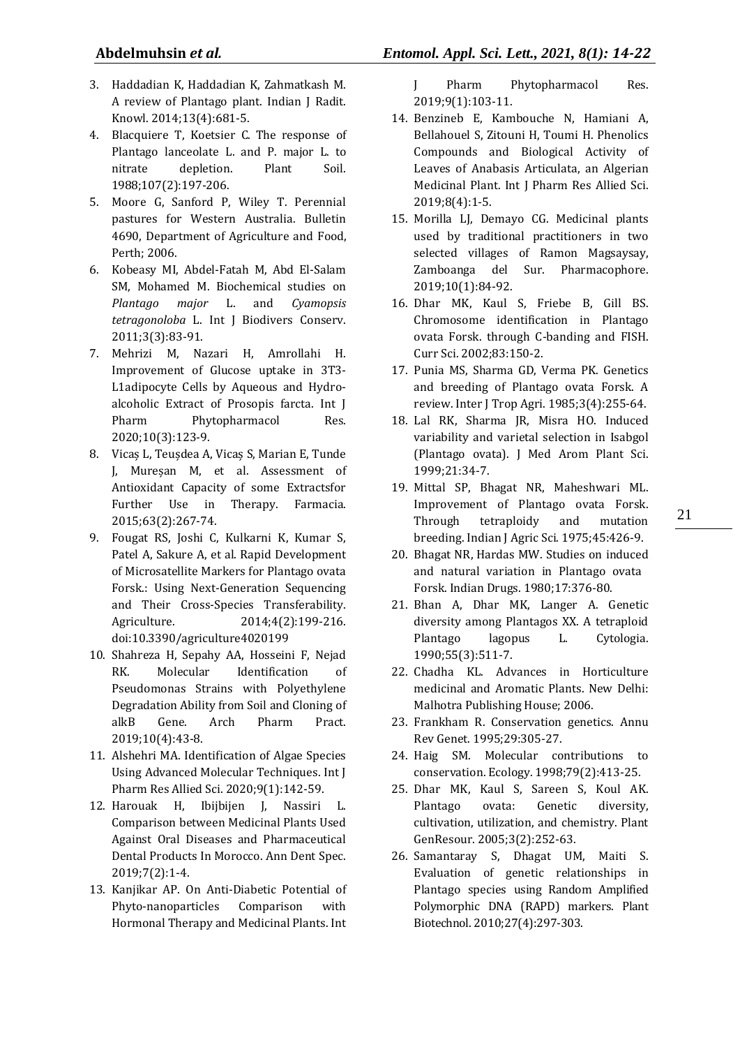- 3. Haddadian K, Haddadian K, Zahmatkash M. A review of Plantago plant. Indian J Radit. Knowl. 2014;13(4):681-5.
- 4. Blacquiere T, Koetsier C. The response of Plantago lanceolate L. and P. major L. to nitrate depletion. Plant Soil. 1988;107(2):197-206.
- 5. Moore G, Sanford P, Wiley T. Perennial pastures for Western Australia. Bulletin 4690, Department of Agriculture and Food, Perth; 2006.
- 6. Kobeasy MI, Abdel-Fatah M, Abd El-Salam SM, Mohamed M. Biochemical studies on *Plantago major* L. and *Cyamopsis tetragonoloba* L. Int J Biodivers Conserv. 2011;3(3):83-91.
- 7. Mehrizi M, Nazari H, Amrollahi H. Improvement of Glucose uptake in 3T3- L1adipocyte Cells by Aqueous and Hydroalcoholic Extract of Prosopis farcta. Int J Pharm Phytopharmacol Res. 2020;10(3):123-9.
- 8. Vicaș L, Teușdea A, Vicaș S, Marian E, Tunde J, Mureșan M, et al. Assessment of Antioxidant Capacity of some Extractsfor Further Use in Therapy. Farmacia. 2015;63(2):267-74.
- 9. Fougat RS, Joshi C, Kulkarni K, Kumar S, Patel A, Sakure A, et al. Rapid Development of Microsatellite Markers for Plantago ovata Forsk.: Using Next-Generation Sequencing and Their Cross-Species Transferability. Agriculture. 2014;4(2):199-216. doi:10.3390/agriculture4020199
- 10. Shahreza H, Sepahy AA, Hosseini F, Nejad RK. Molecular Identification of Pseudomonas Strains with Polyethylene Degradation Ability from Soil and Cloning of alkB Gene. Arch Pharm Pract. 2019;10(4):43-8.
- 11. Alshehri MA. Identification of Algae Species Using Advanced Molecular Techniques. Int J Pharm Res Allied Sci. 2020;9(1):142-59.
- 12. Harouak H, Ibijbijen J, Nassiri L. Comparison between Medicinal Plants Used Against Oral Diseases and Pharmaceutical Dental Products In Morocco. Ann Dent Spec. 2019;7(2):1-4.
- 13. Kanjikar AP. On Anti-Diabetic Potential of Phyto-nanoparticles Comparison with Hormonal Therapy and Medicinal Plants. Int

J Pharm Phytopharmacol Res. 2019;9(1):103-11.

- 14. Benzineb E, Kambouche N, Hamiani A, Bellahouel S, Zitouni H, Toumi H. Phenolics Compounds and Biological Activity of Leaves of Anabasis Articulata, an Algerian Medicinal Plant. Int J Pharm Res Allied Sci. 2019;8(4):1-5.
- 15. Morilla LJ, Demayo CG. Medicinal plants used by traditional practitioners in two selected villages of Ramon Magsaysay, Zamboanga del Sur. Pharmacophore. 2019;10(1):84-92.
- 16. Dhar MK, Kaul S, Friebe B, Gill BS. Chromosome identification in Plantago ovata Forsk. through C-banding and FISH. Curr Sci. 2002;83:150-2.
- 17. Punia MS, Sharma GD, Verma PK. Genetics and breeding of Plantago ovata Forsk. A review. Inter J Trop Agri. 1985;3(4):255-64.
- 18. Lal RK, Sharma JR, Misra HO. Induced variability and varietal selection in Isabgol (Plantago ovata). J Med Arom Plant Sci. 1999;21:34-7.
- 19. Mittal SP, Bhagat NR, Maheshwari ML. Improvement of Plantago ovata Forsk. Through tetraploidy and mutation breeding. Indian J Agric Sci. 1975;45:426-9.
- 20. Bhagat NR, Hardas MW. Studies on induced and natural variation in Plantago ovata Forsk. Indian Drugs. 1980;17:376-80.
- 21. Bhan A, Dhar MK, Langer A. Genetic diversity among Plantagos XX. A tetraploid Plantago lagopus L. Cytologia. 1990;55(3):511-7.
- 22. Chadha KL. Advances in Horticulture medicinal and Aromatic Plants. New Delhi: Malhotra Publishing House; 2006.
- 23. Frankham R. Conservation genetics. Annu Rev Genet. 1995;29:305-27.
- 24. Haig SM. Molecular contributions to conservation. Ecology. 1998;79(2):413-25.
- 25. Dhar MK, Kaul S, Sareen S, Koul AK. Plantago ovata: Genetic diversity, cultivation, utilization, and chemistry. Plant GenResour. 2005;3(2):252-63.
- 26. Samantaray S, Dhagat UM, Maiti S. Evaluation of genetic relationships in Plantago species using Random Amplified Polymorphic DNA (RAPD) markers. Plant Biotechnol. 2010;27(4):297-303.